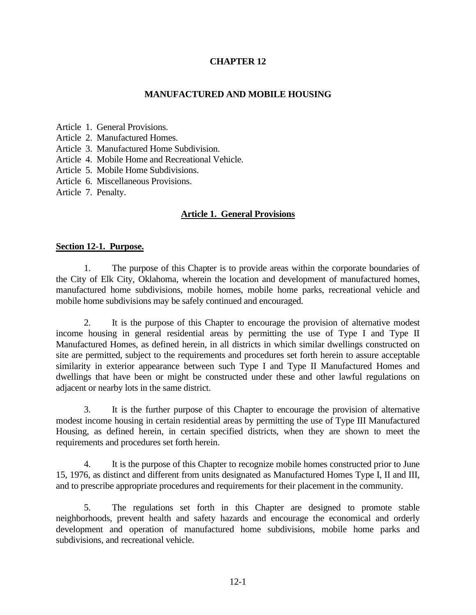## **CHAPTER 12**

### **MANUFACTURED AND MOBILE HOUSING**

Article 1. General Provisions.

Article 2. Manufactured Homes.

Article 3. Manufactured Home Subdivision.

Article 4. Mobile Home and Recreational Vehicle.

Article 5. Mobile Home Subdivisions.

Article 6. Miscellaneous Provisions.

Article 7. Penalty.

#### **Article 1. General Provisions**

#### **Section 12-1. Purpose.**

1. The purpose of this Chapter is to provide areas within the corporate boundaries of the City of Elk City, Oklahoma, wherein the location and development of manufactured homes, manufactured home subdivisions, mobile homes, mobile home parks, recreational vehicle and mobile home subdivisions may be safely continued and encouraged.

2. It is the purpose of this Chapter to encourage the provision of alternative modest income housing in general residential areas by permitting the use of Type I and Type II Manufactured Homes, as defined herein, in all districts in which similar dwellings constructed on site are permitted, subject to the requirements and procedures set forth herein to assure acceptable similarity in exterior appearance between such Type I and Type II Manufactured Homes and dwellings that have been or might be constructed under these and other lawful regulations on adjacent or nearby lots in the same district.

3. It is the further purpose of this Chapter to encourage the provision of alternative modest income housing in certain residential areas by permitting the use of Type III Manufactured Housing, as defined herein, in certain specified districts, when they are shown to meet the requirements and procedures set forth herein.

4. It is the purpose of this Chapter to recognize mobile homes constructed prior to June 15, 1976, as distinct and different from units designated as Manufactured Homes Type I, II and III, and to prescribe appropriate procedures and requirements for their placement in the community.

5. The regulations set forth in this Chapter are designed to promote stable neighborhoods, prevent health and safety hazards and encourage the economical and orderly development and operation of manufactured home subdivisions, mobile home parks and subdivisions, and recreational vehicle.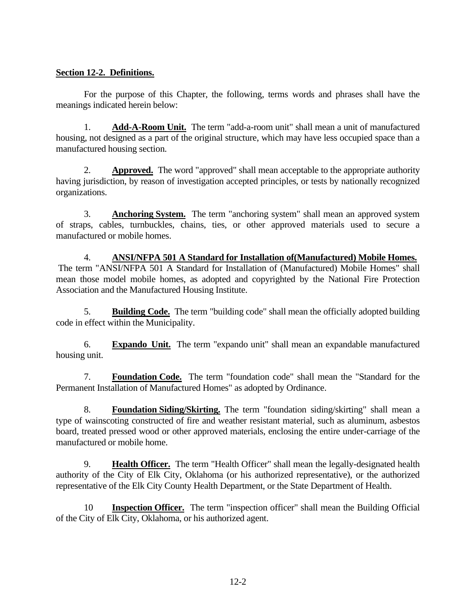## **Section 12-2. Definitions.**

For the purpose of this Chapter, the following, terms words and phrases shall have the meanings indicated herein below:

1. **Add-A-Room Unit.** The term "add-a-room unit" shall mean a unit of manufactured housing, not designed as a part of the original structure, which may have less occupied space than a manufactured housing section.

2. **Approved.** The word "approved" shall mean acceptable to the appropriate authority having jurisdiction, by reason of investigation accepted principles, or tests by nationally recognized organizations.

3. **Anchoring System.** The term "anchoring system" shall mean an approved system of straps, cables, turnbuckles, chains, ties, or other approved materials used to secure a manufactured or mobile homes.

4. **ANSI/NFPA 501 A Standard for Installation of(Manufactured) Mobile Homes.** The term "ANSI/NFPA 501 A Standard for Installation of (Manufactured) Mobile Homes" shall mean those model mobile homes, as adopted and copyrighted by the National Fire Protection Association and the Manufactured Housing Institute.

5. **Building Code.** The term "building code" shall mean the officially adopted building code in effect within the Municipality.

6. **Expando Unit.** The term "expando unit" shall mean an expandable manufactured housing unit.

7. **Foundation Code.** The term "foundation code" shall mean the "Standard for the Permanent Installation of Manufactured Homes" as adopted by Ordinance.

8. **Foundation Siding/Skirting.** The term "foundation siding/skirting" shall mean a type of wainscoting constructed of fire and weather resistant material, such as aluminum, asbestos board, treated pressed wood or other approved materials, enclosing the entire under-carriage of the manufactured or mobile home.

9. **Health Officer.** The term "Health Officer" shall mean the legally-designated health authority of the City of Elk City, Oklahoma (or his authorized representative), or the authorized representative of the Elk City County Health Department, or the State Department of Health.

10 **Inspection Officer.** The term "inspection officer" shall mean the Building Official of the City of Elk City, Oklahoma, or his authorized agent.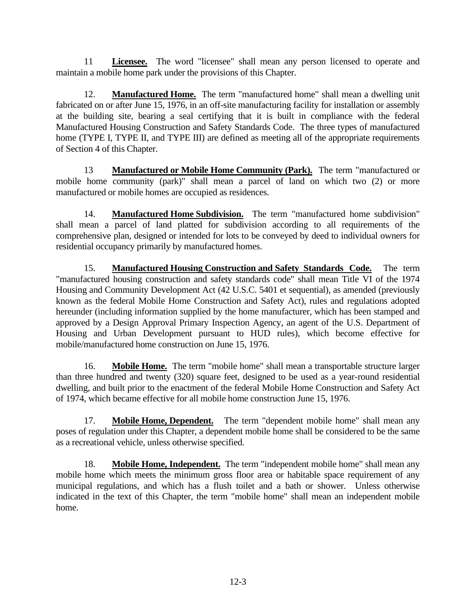11 **Licensee.** The word "licensee" shall mean any person licensed to operate and maintain a mobile home park under the provisions of this Chapter.

12. **Manufactured Home.** The term "manufactured home" shall mean a dwelling unit fabricated on or after June 15, 1976, in an off-site manufacturing facility for installation or assembly at the building site, bearing a seal certifying that it is built in compliance with the federal Manufactured Housing Construction and Safety Standards Code. The three types of manufactured home (TYPE I, TYPE II, and TYPE III) are defined as meeting all of the appropriate requirements of Section 4 of this Chapter.

13 **Manufactured or Mobile Home Community (Park).** The term "manufactured or mobile home community (park)" shall mean a parcel of land on which two (2) or more manufactured or mobile homes are occupied as residences.

14. **Manufactured Home Subdivision.** The term "manufactured home subdivision" shall mean a parcel of land platted for subdivision according to all requirements of the comprehensive plan, designed or intended for lots to be conveyed by deed to individual owners for residential occupancy primarily by manufactured homes.

15. **Manufactured Housing Construction and Safety Standards Code.** The term "manufactured housing construction and safety standards code" shall mean Title VI of the 1974 Housing and Community Development Act (42 U.S.C. 5401 et sequential), as amended (previously known as the federal Mobile Home Construction and Safety Act), rules and regulations adopted hereunder (including information supplied by the home manufacturer, which has been stamped and approved by a Design Approval Primary Inspection Agency, an agent of the U.S. Department of Housing and Urban Development pursuant to HUD rules), which become effective for mobile/manufactured home construction on June 15, 1976.

16. **Mobile Home.** The term "mobile home" shall mean a transportable structure larger than three hundred and twenty (320) square feet, designed to be used as a year-round residential dwelling, and built prior to the enactment of the federal Mobile Home Construction and Safety Act of 1974, which became effective for all mobile home construction June 15, 1976.

17. **Mobile Home, Dependent.** The term "dependent mobile home" shall mean any poses of regulation under this Chapter, a dependent mobile home shall be considered to be the same as a recreational vehicle, unless otherwise specified.

18. **Mobile Home, Independent.** The term "independent mobile home" shall mean any mobile home which meets the minimum gross floor area or habitable space requirement of any municipal regulations, and which has a flush toilet and a bath or shower. Unless otherwise indicated in the text of this Chapter, the term "mobile home" shall mean an independent mobile home.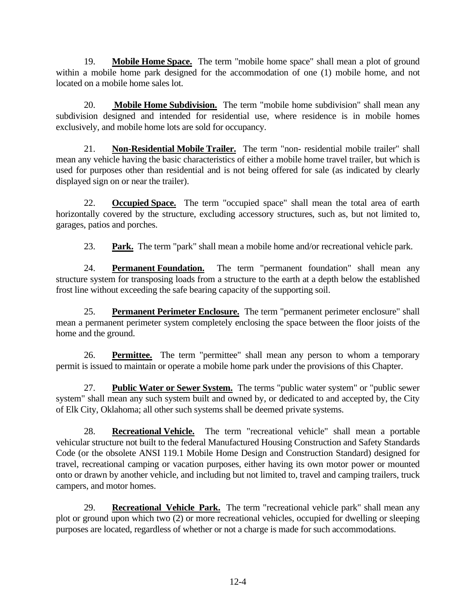19. **Mobile Home Space.** The term "mobile home space" shall mean a plot of ground within a mobile home park designed for the accommodation of one (1) mobile home, and not located on a mobile home sales lot.

20. **Mobile Home Subdivision.** The term "mobile home subdivision" shall mean any subdivision designed and intended for residential use, where residence is in mobile homes exclusively, and mobile home lots are sold for occupancy.

21. **Non-Residential Mobile Trailer.** The term "non- residential mobile trailer" shall mean any vehicle having the basic characteristics of either a mobile home travel trailer, but which is used for purposes other than residential and is not being offered for sale (as indicated by clearly displayed sign on or near the trailer).

22. **Occupied Space.** The term "occupied space" shall mean the total area of earth horizontally covered by the structure, excluding accessory structures, such as, but not limited to, garages, patios and porches.

23. **Park.** The term "park" shall mean a mobile home and/or recreational vehicle park.

24. **Permanent Foundation.** The term "permanent foundation" shall mean any structure system for transposing loads from a structure to the earth at a depth below the established frost line without exceeding the safe bearing capacity of the supporting soil.

25. **Permanent Perimeter Enclosure.** The term "permanent perimeter enclosure" shall mean a permanent perimeter system completely enclosing the space between the floor joists of the home and the ground.

26. **Permittee.** The term "permittee" shall mean any person to whom a temporary permit is issued to maintain or operate a mobile home park under the provisions of this Chapter.

27. **Public Water or Sewer System.** The terms "public water system" or "public sewer system" shall mean any such system built and owned by, or dedicated to and accepted by, the City of Elk City, Oklahoma; all other such systems shall be deemed private systems.

28. **Recreational Vehicle.** The term "recreational vehicle" shall mean a portable vehicular structure not built to the federal Manufactured Housing Construction and Safety Standards Code (or the obsolete ANSI 119.1 Mobile Home Design and Construction Standard) designed for travel, recreational camping or vacation purposes, either having its own motor power or mounted onto or drawn by another vehicle, and including but not limited to, travel and camping trailers, truck campers, and motor homes.

29. **Recreational Vehicle Park.** The term "recreational vehicle park" shall mean any plot or ground upon which two (2) or more recreational vehicles, occupied for dwelling or sleeping purposes are located, regardless of whether or not a charge is made for such accommodations.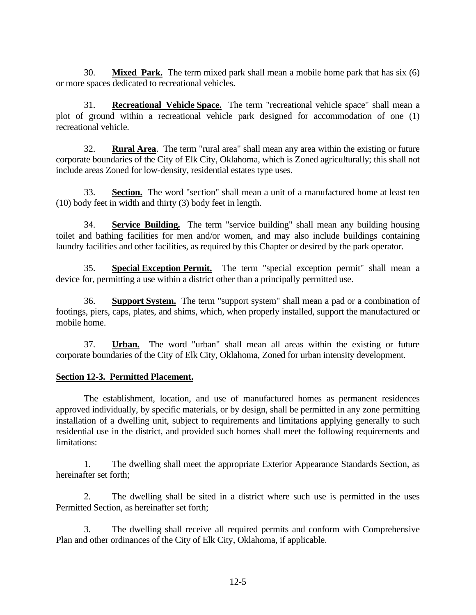30. **Mixed Park.** The term mixed park shall mean a mobile home park that has six (6) or more spaces dedicated to recreational vehicles.

31. **Recreational Vehicle Space.** The term "recreational vehicle space" shall mean a plot of ground within a recreational vehicle park designed for accommodation of one (1) recreational vehicle.

32. **Rural Area**. The term "rural area" shall mean any area within the existing or future corporate boundaries of the City of Elk City, Oklahoma, which is Zoned agriculturally; this shall not include areas Zoned for low-density, residential estates type uses.

33. **Section.** The word "section" shall mean a unit of a manufactured home at least ten (10) body feet in width and thirty (3) body feet in length.

34. **Service Building.** The term "service building" shall mean any building housing toilet and bathing facilities for men and/or women, and may also include buildings containing laundry facilities and other facilities, as required by this Chapter or desired by the park operator.

35. **Special Exception Permit.** The term "special exception permit" shall mean a device for, permitting a use within a district other than a principally permitted use.

36. **Support System.** The term "support system" shall mean a pad or a combination of footings, piers, caps, plates, and shims, which, when properly installed, support the manufactured or mobile home.

37. **Urban.** The word "urban" shall mean all areas within the existing or future corporate boundaries of the City of Elk City, Oklahoma, Zoned for urban intensity development.

## **Section 12-3. Permitted Placement.**

The establishment, location, and use of manufactured homes as permanent residences approved individually, by specific materials, or by design, shall be permitted in any zone permitting installation of a dwelling unit, subject to requirements and limitations applying generally to such residential use in the district, and provided such homes shall meet the following requirements and limitations:

1. The dwelling shall meet the appropriate Exterior Appearance Standards Section, as hereinafter set forth;

2. The dwelling shall be sited in a district where such use is permitted in the uses Permitted Section, as hereinafter set forth;

3. The dwelling shall receive all required permits and conform with Comprehensive Plan and other ordinances of the City of Elk City, Oklahoma, if applicable.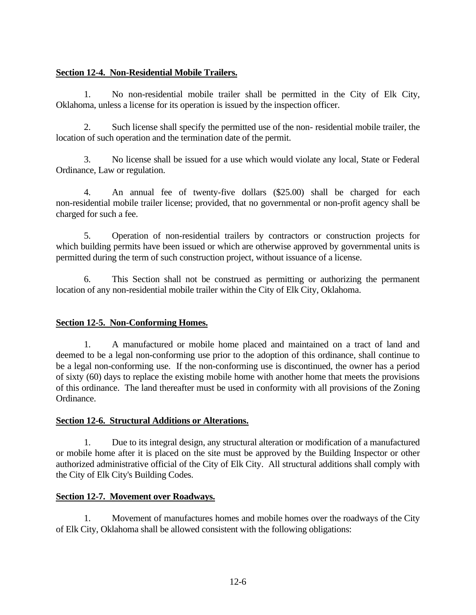## **Section 12-4. Non-Residential Mobile Trailers.**

1. No non-residential mobile trailer shall be permitted in the City of Elk City, Oklahoma, unless a license for its operation is issued by the inspection officer.

2. Such license shall specify the permitted use of the non- residential mobile trailer, the location of such operation and the termination date of the permit.

3. No license shall be issued for a use which would violate any local, State or Federal Ordinance, Law or regulation.

4. An annual fee of twenty-five dollars (\$25.00) shall be charged for each non-residential mobile trailer license; provided, that no governmental or non-profit agency shall be charged for such a fee.

5. Operation of non-residential trailers by contractors or construction projects for which building permits have been issued or which are otherwise approved by governmental units is permitted during the term of such construction project, without issuance of a license.

6. This Section shall not be construed as permitting or authorizing the permanent location of any non-residential mobile trailer within the City of Elk City, Oklahoma.

# **Section 12-5. Non-Conforming Homes.**

1. A manufactured or mobile home placed and maintained on a tract of land and deemed to be a legal non-conforming use prior to the adoption of this ordinance, shall continue to be a legal non-conforming use. If the non-conforming use is discontinued, the owner has a period of sixty (60) days to replace the existing mobile home with another home that meets the provisions of this ordinance. The land thereafter must be used in conformity with all provisions of the Zoning Ordinance.

## **Section 12-6. Structural Additions or Alterations.**

1. Due to its integral design, any structural alteration or modification of a manufactured or mobile home after it is placed on the site must be approved by the Building Inspector or other authorized administrative official of the City of Elk City. All structural additions shall comply with the City of Elk City's Building Codes.

## **Section 12-7. Movement over Roadways.**

1. Movement of manufactures homes and mobile homes over the roadways of the City of Elk City, Oklahoma shall be allowed consistent with the following obligations: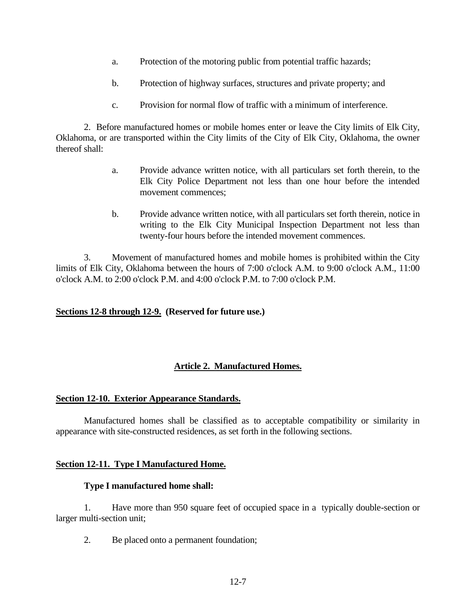- a. Protection of the motoring public from potential traffic hazards;
- b. Protection of highway surfaces, structures and private property; and
- c. Provision for normal flow of traffic with a minimum of interference.

2. Before manufactured homes or mobile homes enter or leave the City limits of Elk City, Oklahoma, or are transported within the City limits of the City of Elk City, Oklahoma, the owner thereof shall:

- a. Provide advance written notice, with all particulars set forth therein, to the Elk City Police Department not less than one hour before the intended movement commences;
- b. Provide advance written notice, with all particulars set forth therein, notice in writing to the Elk City Municipal Inspection Department not less than twenty-four hours before the intended movement commences.

3. Movement of manufactured homes and mobile homes is prohibited within the City limits of Elk City, Oklahoma between the hours of 7:00 o'clock A.M. to 9:00 o'clock A.M., 11:00 o'clock A.M. to 2:00 o'clock P.M. and 4:00 o'clock P.M. to 7:00 o'clock P.M.

#### **Sections 12-8 through 12-9. (Reserved for future use.)**

## **Article 2. Manufactured Homes.**

#### **Section 12-10. Exterior Appearance Standards.**

Manufactured homes shall be classified as to acceptable compatibility or similarity in appearance with site-constructed residences, as set forth in the following sections.

#### **Section 12-11. Type I Manufactured Home.**

#### **Type I manufactured home shall:**

1. Have more than 950 square feet of occupied space in a typically double-section or larger multi-section unit;

2. Be placed onto a permanent foundation;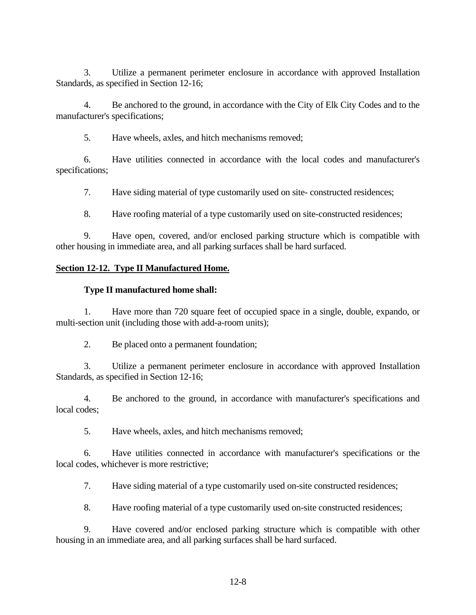3. Utilize a permanent perimeter enclosure in accordance with approved Installation Standards, as specified in Section 12-16;

4. Be anchored to the ground, in accordance with the City of Elk City Codes and to the manufacturer's specifications;

5. Have wheels, axles, and hitch mechanisms removed;

6. Have utilities connected in accordance with the local codes and manufacturer's specifications;

7. Have siding material of type customarily used on site- constructed residences;

8. Have roofing material of a type customarily used on site-constructed residences;

9. Have open, covered, and/or enclosed parking structure which is compatible with other housing in immediate area, and all parking surfaces shall be hard surfaced.

#### **Section 12-12. Type II Manufactured Home.**

#### **Type II manufactured home shall:**

1. Have more than 720 square feet of occupied space in a single, double, expando, or multi-section unit (including those with add-a-room units);

2. Be placed onto a permanent foundation;

3. Utilize a permanent perimeter enclosure in accordance with approved Installation Standards, as specified in Section 12-16;

4. Be anchored to the ground, in accordance with manufacturer's specifications and local codes;

5. Have wheels, axles, and hitch mechanisms removed;

6. Have utilities connected in accordance with manufacturer's specifications or the local codes, whichever is more restrictive;

7. Have siding material of a type customarily used on-site constructed residences;

8. Have roofing material of a type customarily used on-site constructed residences;

9. Have covered and/or enclosed parking structure which is compatible with other housing in an immediate area, and all parking surfaces shall be hard surfaced.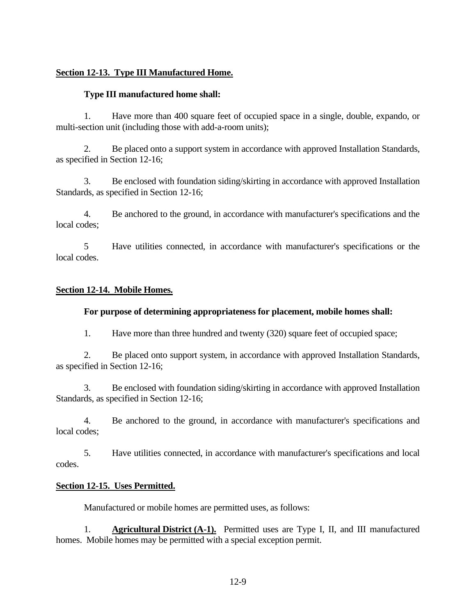## **Section 12-13. Type III Manufactured Home.**

### **Type III manufactured home shall:**

1. Have more than 400 square feet of occupied space in a single, double, expando, or multi-section unit (including those with add-a-room units);

2. Be placed onto a support system in accordance with approved Installation Standards, as specified in Section 12-16;

3. Be enclosed with foundation siding/skirting in accordance with approved Installation Standards, as specified in Section 12-16;

4. Be anchored to the ground, in accordance with manufacturer's specifications and the local codes;

5 Have utilities connected, in accordance with manufacturer's specifications or the local codes.

### **Section 12-14. Mobile Homes.**

#### **For purpose of determining appropriateness for placement, mobile homes shall:**

1. Have more than three hundred and twenty (320) square feet of occupied space;

2. Be placed onto support system, in accordance with approved Installation Standards, as specified in Section 12-16;

3. Be enclosed with foundation siding/skirting in accordance with approved Installation Standards, as specified in Section 12-16;

4. Be anchored to the ground, in accordance with manufacturer's specifications and local codes;

5. Have utilities connected, in accordance with manufacturer's specifications and local codes.

#### **Section 12-15. Uses Permitted.**

Manufactured or mobile homes are permitted uses, as follows:

1. **Agricultural District (A-1).** Permitted uses are Type I, II, and III manufactured homes. Mobile homes may be permitted with a special exception permit.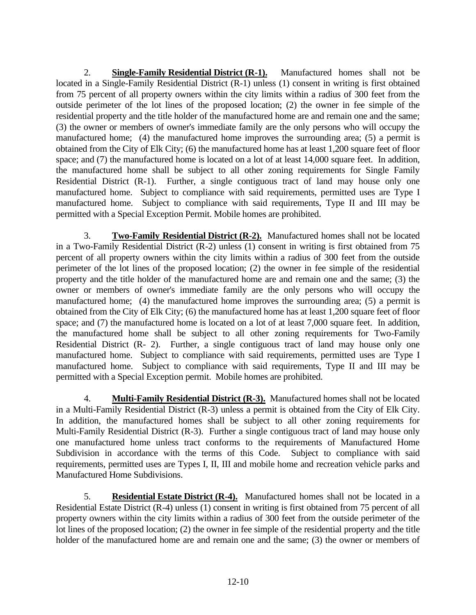2. **Single-Family Residential District (R-1).** Manufactured homes shall not be located in a Single-Family Residential District (R-1) unless (1) consent in writing is first obtained from 75 percent of all property owners within the city limits within a radius of 300 feet from the outside perimeter of the lot lines of the proposed location; (2) the owner in fee simple of the residential property and the title holder of the manufactured home are and remain one and the same; (3) the owner or members of owner's immediate family are the only persons who will occupy the manufactured home; (4) the manufactured home improves the surrounding area; (5) a permit is obtained from the City of Elk City; (6) the manufactured home has at least 1,200 square feet of floor space; and (7) the manufactured home is located on a lot of at least 14,000 square feet. In addition, the manufactured home shall be subject to all other zoning requirements for Single Family Residential District (R-1). Further, a single contiguous tract of land may house only one manufactured home. Subject to compliance with said requirements, permitted uses are Type I manufactured home. Subject to compliance with said requirements, Type II and III may be permitted with a Special Exception Permit. Mobile homes are prohibited.

3. **Two-Family Residential District (R-2).** Manufactured homes shall not be located in a Two-Family Residential District (R-2) unless (1) consent in writing is first obtained from 75 percent of all property owners within the city limits within a radius of 300 feet from the outside perimeter of the lot lines of the proposed location; (2) the owner in fee simple of the residential property and the title holder of the manufactured home are and remain one and the same; (3) the owner or members of owner's immediate family are the only persons who will occupy the manufactured home; (4) the manufactured home improves the surrounding area; (5) a permit is obtained from the City of Elk City; (6) the manufactured home has at least 1,200 square feet of floor space; and (7) the manufactured home is located on a lot of at least 7,000 square feet. In addition, the manufactured home shall be subject to all other zoning requirements for Two-Family Residential District (R- 2). Further, a single contiguous tract of land may house only one manufactured home. Subject to compliance with said requirements, permitted uses are Type I manufactured home. Subject to compliance with said requirements, Type II and III may be permitted with a Special Exception permit. Mobile homes are prohibited.

4. **Multi-Family Residential District (R-3).** Manufactured homes shall not be located in a Multi-Family Residential District (R-3) unless a permit is obtained from the City of Elk City. In addition, the manufactured homes shall be subject to all other zoning requirements for Multi-Family Residential District (R-3). Further a single contiguous tract of land may house only one manufactured home unless tract conforms to the requirements of Manufactured Home Subdivision in accordance with the terms of this Code. Subject to compliance with said requirements, permitted uses are Types I, II, III and mobile home and recreation vehicle parks and Manufactured Home Subdivisions.

5. **Residential Estate District (R-4).** Manufactured homes shall not be located in a Residential Estate District (R-4) unless (1) consent in writing is first obtained from 75 percent of all property owners within the city limits within a radius of 300 feet from the outside perimeter of the lot lines of the proposed location; (2) the owner in fee simple of the residential property and the title holder of the manufactured home are and remain one and the same; (3) the owner or members of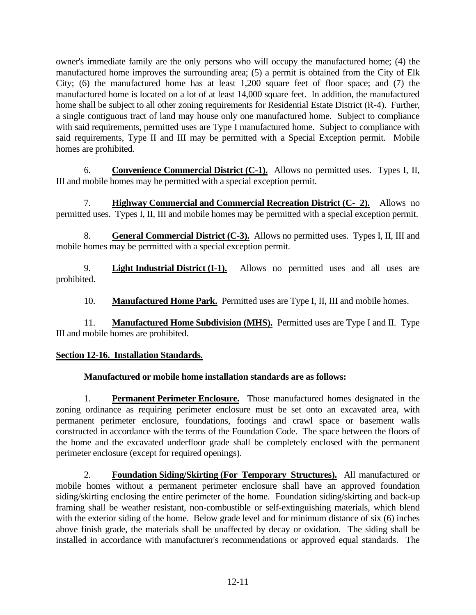owner's immediate family are the only persons who will occupy the manufactured home; (4) the manufactured home improves the surrounding area; (5) a permit is obtained from the City of Elk City; (6) the manufactured home has at least 1,200 square feet of floor space; and (7) the manufactured home is located on a lot of at least 14,000 square feet. In addition, the manufactured home shall be subject to all other zoning requirements for Residential Estate District (R-4). Further, a single contiguous tract of land may house only one manufactured home. Subject to compliance with said requirements, permitted uses are Type I manufactured home. Subject to compliance with said requirements, Type II and III may be permitted with a Special Exception permit. Mobile homes are prohibited.

6. **Convenience Commercial District (C-1).** Allows no permitted uses. Types I, II, III and mobile homes may be permitted with a special exception permit.

7. **Highway Commercial and Commercial Recreation District (C- 2).** Allows no permitted uses. Types I, II, III and mobile homes may be permitted with a special exception permit.

8. **General Commercial District (C-3).** Allows no permitted uses. Types I, II, III and mobile homes may be permitted with a special exception permit.

9. **Light Industrial District (I-1).** Allows no permitted uses and all uses are prohibited.

10. **Manufactured Home Park.** Permitted uses are Type I, II, III and mobile homes.

11. **Manufactured Home Subdivision (MHS).** Permitted uses are Type I and II. Type III and mobile homes are prohibited.

# **Section 12-16. Installation Standards.**

# **Manufactured or mobile home installation standards are as follows:**

1. **Permanent Perimeter Enclosure.** Those manufactured homes designated in the zoning ordinance as requiring perimeter enclosure must be set onto an excavated area, with permanent perimeter enclosure, foundations, footings and crawl space or basement walls constructed in accordance with the terms of the Foundation Code. The space between the floors of the home and the excavated underfloor grade shall be completely enclosed with the permanent perimeter enclosure (except for required openings).

2. **Foundation Siding/Skirting (For Temporary Structures).** All manufactured or mobile homes without a permanent perimeter enclosure shall have an approved foundation siding/skirting enclosing the entire perimeter of the home. Foundation siding/skirting and back-up framing shall be weather resistant, non-combustible or self-extinguishing materials, which blend with the exterior siding of the home. Below grade level and for minimum distance of six (6) inches above finish grade, the materials shall be unaffected by decay or oxidation. The siding shall be installed in accordance with manufacturer's recommendations or approved equal standards. The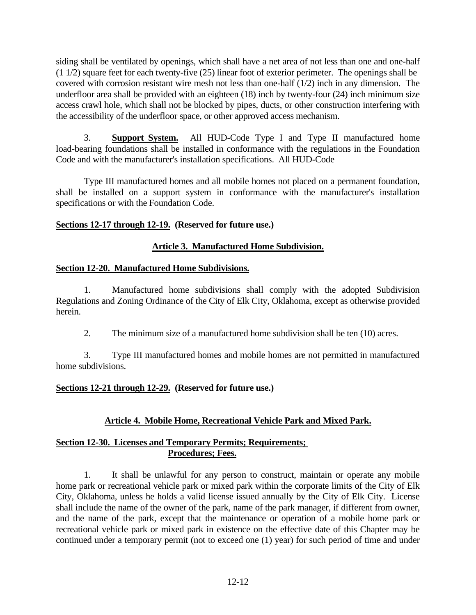siding shall be ventilated by openings, which shall have a net area of not less than one and one-half (1 1/2) square feet for each twenty-five (25) linear foot of exterior perimeter. The openings shall be covered with corrosion resistant wire mesh not less than one-half (1/2) inch in any dimension. The underfloor area shall be provided with an eighteen (18) inch by twenty-four (24) inch minimum size access crawl hole, which shall not be blocked by pipes, ducts, or other construction interfering with the accessibility of the underfloor space, or other approved access mechanism.

3. **Support System.** All HUD-Code Type I and Type II manufactured home load-bearing foundations shall be installed in conformance with the regulations in the Foundation Code and with the manufacturer's installation specifications. All HUD-Code

Type III manufactured homes and all mobile homes not placed on a permanent foundation, shall be installed on a support system in conformance with the manufacturer's installation specifications or with the Foundation Code.

## **Sections 12-17 through 12-19. (Reserved for future use.)**

## **Article 3. Manufactured Home Subdivision.**

### **Section 12-20. Manufactured Home Subdivisions.**

1. Manufactured home subdivisions shall comply with the adopted Subdivision Regulations and Zoning Ordinance of the City of Elk City, Oklahoma, except as otherwise provided herein.

2. The minimum size of a manufactured home subdivision shall be ten (10) acres.

3. Type III manufactured homes and mobile homes are not permitted in manufactured home subdivisions.

## **Sections 12-21 through 12-29. (Reserved for future use.)**

# **Article 4. Mobile Home, Recreational Vehicle Park and Mixed Park.**

## **Section 12-30. Licenses and Temporary Permits; Requirements; Procedures; Fees.**

1. It shall be unlawful for any person to construct, maintain or operate any mobile home park or recreational vehicle park or mixed park within the corporate limits of the City of Elk City, Oklahoma, unless he holds a valid license issued annually by the City of Elk City. License shall include the name of the owner of the park, name of the park manager, if different from owner, and the name of the park, except that the maintenance or operation of a mobile home park or recreational vehicle park or mixed park in existence on the effective date of this Chapter may be continued under a temporary permit (not to exceed one (1) year) for such period of time and under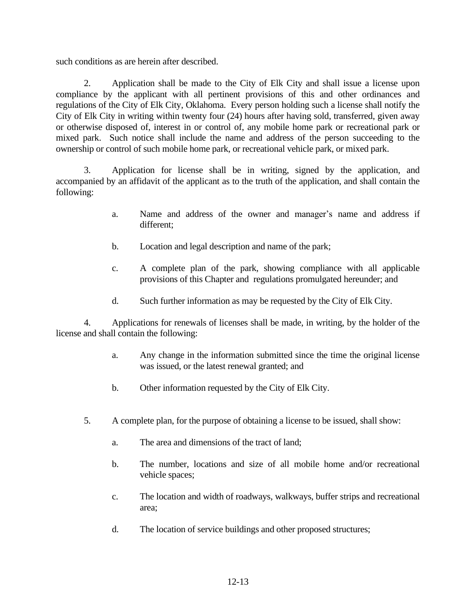such conditions as are herein after described.

2. Application shall be made to the City of Elk City and shall issue a license upon compliance by the applicant with all pertinent provisions of this and other ordinances and regulations of the City of Elk City, Oklahoma. Every person holding such a license shall notify the City of Elk City in writing within twenty four (24) hours after having sold, transferred, given away or otherwise disposed of, interest in or control of, any mobile home park or recreational park or mixed park. Such notice shall include the name and address of the person succeeding to the ownership or control of such mobile home park, or recreational vehicle park, or mixed park.

3. Application for license shall be in writing, signed by the application, and accompanied by an affidavit of the applicant as to the truth of the application, and shall contain the following:

- a. Name and address of the owner and manager's name and address if different;
- b. Location and legal description and name of the park;
- c. A complete plan of the park, showing compliance with all applicable provisions of this Chapter and regulations promulgated hereunder; and
- d. Such further information as may be requested by the City of Elk City.

4. Applications for renewals of licenses shall be made, in writing, by the holder of the license and shall contain the following:

- a. Any change in the information submitted since the time the original license was issued, or the latest renewal granted; and
- b. Other information requested by the City of Elk City.
- 5. A complete plan, for the purpose of obtaining a license to be issued, shall show:
	- a. The area and dimensions of the tract of land;
	- b. The number, locations and size of all mobile home and/or recreational vehicle spaces;
	- c. The location and width of roadways, walkways, buffer strips and recreational area;
	- d. The location of service buildings and other proposed structures;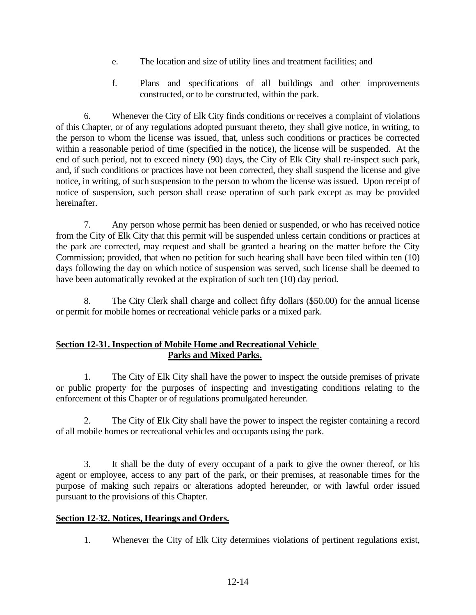- e. The location and size of utility lines and treatment facilities; and
- f. Plans and specifications of all buildings and other improvements constructed, or to be constructed, within the park.

6. Whenever the City of Elk City finds conditions or receives a complaint of violations of this Chapter, or of any regulations adopted pursuant thereto, they shall give notice, in writing, to the person to whom the license was issued, that, unless such conditions or practices be corrected within a reasonable period of time (specified in the notice), the license will be suspended. At the end of such period, not to exceed ninety (90) days, the City of Elk City shall re-inspect such park, and, if such conditions or practices have not been corrected, they shall suspend the license and give notice, in writing, of such suspension to the person to whom the license was issued. Upon receipt of notice of suspension, such person shall cease operation of such park except as may be provided hereinafter.

7. Any person whose permit has been denied or suspended, or who has received notice from the City of Elk City that this permit will be suspended unless certain conditions or practices at the park are corrected, may request and shall be granted a hearing on the matter before the City Commission; provided, that when no petition for such hearing shall have been filed within ten (10) days following the day on which notice of suspension was served, such license shall be deemed to have been automatically revoked at the expiration of such ten (10) day period.

8. The City Clerk shall charge and collect fifty dollars (\$50.00) for the annual license or permit for mobile homes or recreational vehicle parks or a mixed park.

## **Section 12-31. Inspection of Mobile Home and Recreational Vehicle Parks and Mixed Parks.**

1. The City of Elk City shall have the power to inspect the outside premises of private or public property for the purposes of inspecting and investigating conditions relating to the enforcement of this Chapter or of regulations promulgated hereunder.

2. The City of Elk City shall have the power to inspect the register containing a record of all mobile homes or recreational vehicles and occupants using the park.

3. It shall be the duty of every occupant of a park to give the owner thereof, or his agent or employee, access to any part of the park, or their premises, at reasonable times for the purpose of making such repairs or alterations adopted hereunder, or with lawful order issued pursuant to the provisions of this Chapter.

## **Section 12-32. Notices, Hearings and Orders.**

1. Whenever the City of Elk City determines violations of pertinent regulations exist,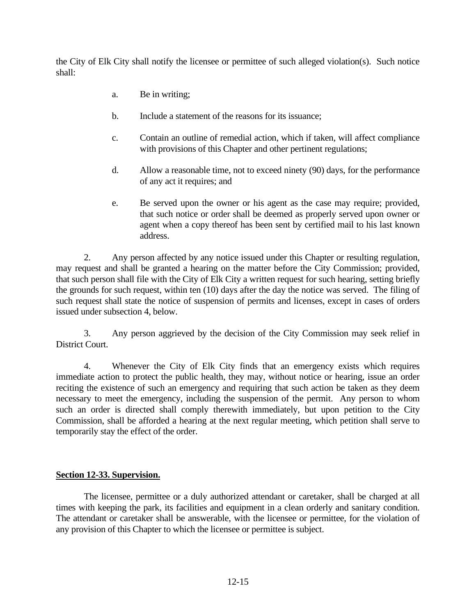the City of Elk City shall notify the licensee or permittee of such alleged violation(s). Such notice shall:

- a. Be in writing;
- b. Include a statement of the reasons for its issuance;
- c. Contain an outline of remedial action, which if taken, will affect compliance with provisions of this Chapter and other pertinent regulations;
- d. Allow a reasonable time, not to exceed ninety (90) days, for the performance of any act it requires; and
- e. Be served upon the owner or his agent as the case may require; provided, that such notice or order shall be deemed as properly served upon owner or agent when a copy thereof has been sent by certified mail to his last known address.

2. Any person affected by any notice issued under this Chapter or resulting regulation, may request and shall be granted a hearing on the matter before the City Commission; provided, that such person shall file with the City of Elk City a written request for such hearing, setting briefly the grounds for such request, within ten (10) days after the day the notice was served. The filing of such request shall state the notice of suspension of permits and licenses, except in cases of orders issued under subsection 4, below.

3. Any person aggrieved by the decision of the City Commission may seek relief in District Court.

4. Whenever the City of Elk City finds that an emergency exists which requires immediate action to protect the public health, they may, without notice or hearing, issue an order reciting the existence of such an emergency and requiring that such action be taken as they deem necessary to meet the emergency, including the suspension of the permit. Any person to whom such an order is directed shall comply therewith immediately, but upon petition to the City Commission, shall be afforded a hearing at the next regular meeting, which petition shall serve to temporarily stay the effect of the order.

## **Section 12-33. Supervision.**

The licensee, permittee or a duly authorized attendant or caretaker, shall be charged at all times with keeping the park, its facilities and equipment in a clean orderly and sanitary condition. The attendant or caretaker shall be answerable, with the licensee or permittee, for the violation of any provision of this Chapter to which the licensee or permittee is subject.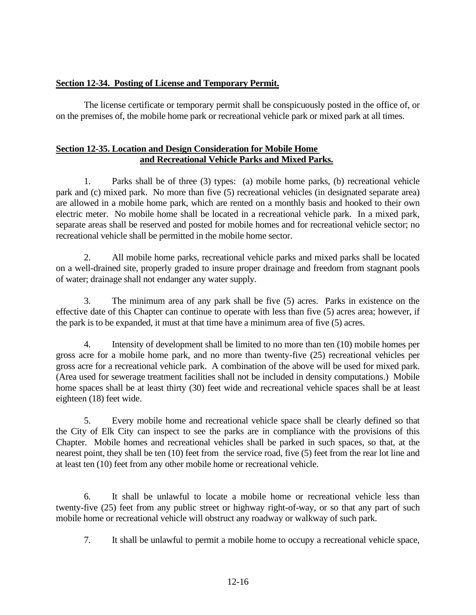### **Section 12-34. Posting of License and Temporary Permit.**

The license certificate or temporary permit shall be conspicuously posted in the office of, or on the premises of, the mobile home park or recreational vehicle park or mixed park at all times.

#### **Section 12-35. Location and Design Consideration for Mobile Home and Recreational Vehicle Parks and Mixed Parks.**

1. Parks shall be of three (3) types: (a) mobile home parks, (b) recreational vehicle park and (c) mixed park. No more than five (5) recreational vehicles (in designated separate area) are allowed in a mobile home park, which are rented on a monthly basis and hooked to their own electric meter. No mobile home shall be located in a recreational vehicle park. In a mixed park, separate areas shall be reserved and posted for mobile homes and for recreational vehicle sector; no recreational vehicle shall be permitted in the mobile home sector.

2. All mobile home parks, recreational vehicle parks and mixed parks shall be located on a well-drained site, properly graded to insure proper drainage and freedom from stagnant pools of water; drainage shall not endanger any water supply.

3. The minimum area of any park shall be five (5) acres. Parks in existence on the effective date of this Chapter can continue to operate with less than five (5) acres area; however, if the park is to be expanded, it must at that time have a minimum area of five (5) acres.

4. Intensity of development shall be limited to no more than ten (10) mobile homes per gross acre for a mobile home park, and no more than twenty-five (25) recreational vehicles per gross acre for a recreational vehicle park. A combination of the above will be used for mixed park. (Area used for sewerage treatment facilities shall not be included in density computations.) Mobile home spaces shall be at least thirty (30) feet wide and recreational vehicle spaces shall be at least eighteen (18) feet wide.

5. Every mobile home and recreational vehicle space shall be clearly defined so that the City of Elk City can inspect to see the parks are in compliance with the provisions of this Chapter. Mobile homes and recreational vehicles shall be parked in such spaces, so that, at the nearest point, they shall be ten (10) feet from the service road, five (5) feet from the rear lot line and at least ten (10) feet from any other mobile home or recreational vehicle.

6. It shall be unlawful to locate a mobile home or recreational vehicle less than twenty-five (25) feet from any public street or highway right-of-way, or so that any part of such mobile home or recreational vehicle will obstruct any roadway or walkway of such park.

7. It shall be unlawful to permit a mobile home to occupy a recreational vehicle space,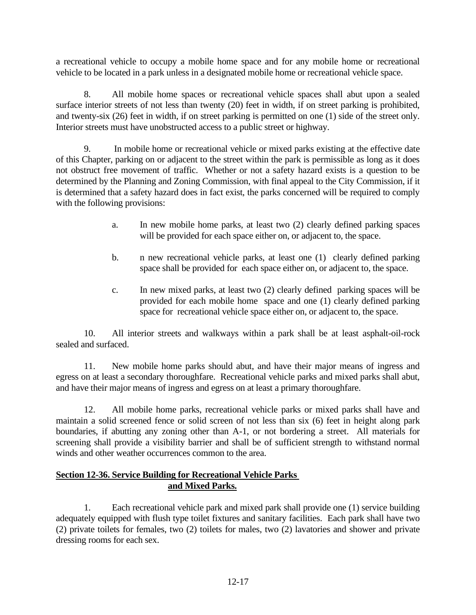a recreational vehicle to occupy a mobile home space and for any mobile home or recreational vehicle to be located in a park unless in a designated mobile home or recreational vehicle space.

8. All mobile home spaces or recreational vehicle spaces shall abut upon a sealed surface interior streets of not less than twenty (20) feet in width, if on street parking is prohibited, and twenty-six (26) feet in width, if on street parking is permitted on one (1) side of the street only. Interior streets must have unobstructed access to a public street or highway.

9. In mobile home or recreational vehicle or mixed parks existing at the effective date of this Chapter, parking on or adjacent to the street within the park is permissible as long as it does not obstruct free movement of traffic. Whether or not a safety hazard exists is a question to be determined by the Planning and Zoning Commission, with final appeal to the City Commission, if it is determined that a safety hazard does in fact exist, the parks concerned will be required to comply with the following provisions:

- a. In new mobile home parks, at least two (2) clearly defined parking spaces will be provided for each space either on, or adjacent to, the space.
- b. n new recreational vehicle parks, at least one (1) clearly defined parking space shall be provided for each space either on, or adjacent to, the space.
- c. In new mixed parks, at least two (2) clearly defined parking spaces will be provided for each mobile home space and one (1) clearly defined parking space for recreational vehicle space either on, or adjacent to, the space.

10. All interior streets and walkways within a park shall be at least asphalt-oil-rock sealed and surfaced.

11. New mobile home parks should abut, and have their major means of ingress and egress on at least a secondary thoroughfare. Recreational vehicle parks and mixed parks shall abut, and have their major means of ingress and egress on at least a primary thoroughfare.

12. All mobile home parks, recreational vehicle parks or mixed parks shall have and maintain a solid screened fence or solid screen of not less than six (6) feet in height along park boundaries, if abutting any zoning other than A-1, or not bordering a street. All materials for screening shall provide a visibility barrier and shall be of sufficient strength to withstand normal winds and other weather occurrences common to the area.

### **Section 12-36. Service Building for Recreational Vehicle Parks and Mixed Parks.**

1. Each recreational vehicle park and mixed park shall provide one (1) service building adequately equipped with flush type toilet fixtures and sanitary facilities. Each park shall have two (2) private toilets for females, two (2) toilets for males, two (2) lavatories and shower and private dressing rooms for each sex.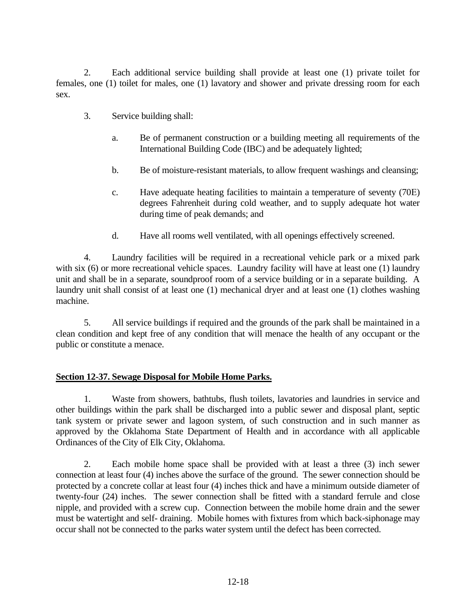2. Each additional service building shall provide at least one (1) private toilet for females, one (1) toilet for males, one (1) lavatory and shower and private dressing room for each sex.

- 3. Service building shall:
	- a. Be of permanent construction or a building meeting all requirements of the International Building Code (IBC) and be adequately lighted;
	- b. Be of moisture-resistant materials, to allow frequent washings and cleansing;
	- c. Have adequate heating facilities to maintain a temperature of seventy (70E) degrees Fahrenheit during cold weather, and to supply adequate hot water during time of peak demands; and
	- d. Have all rooms well ventilated, with all openings effectively screened.

4. Laundry facilities will be required in a recreational vehicle park or a mixed park with six (6) or more recreational vehicle spaces. Laundry facility will have at least one (1) laundry unit and shall be in a separate, soundproof room of a service building or in a separate building. A laundry unit shall consist of at least one (1) mechanical dryer and at least one (1) clothes washing machine.

5. All service buildings if required and the grounds of the park shall be maintained in a clean condition and kept free of any condition that will menace the health of any occupant or the public or constitute a menace.

## **Section 12-37. Sewage Disposal for Mobile Home Parks.**

1. Waste from showers, bathtubs, flush toilets, lavatories and laundries in service and other buildings within the park shall be discharged into a public sewer and disposal plant, septic tank system or private sewer and lagoon system, of such construction and in such manner as approved by the Oklahoma State Department of Health and in accordance with all applicable Ordinances of the City of Elk City, Oklahoma.

2. Each mobile home space shall be provided with at least a three (3) inch sewer connection at least four (4) inches above the surface of the ground. The sewer connection should be protected by a concrete collar at least four (4) inches thick and have a minimum outside diameter of twenty-four (24) inches. The sewer connection shall be fitted with a standard ferrule and close nipple, and provided with a screw cup. Connection between the mobile home drain and the sewer must be watertight and self- draining. Mobile homes with fixtures from which back-siphonage may occur shall not be connected to the parks water system until the defect has been corrected.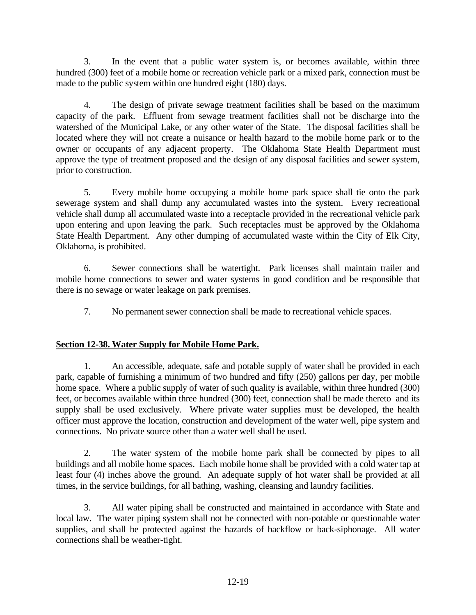3. In the event that a public water system is, or becomes available, within three hundred (300) feet of a mobile home or recreation vehicle park or a mixed park, connection must be made to the public system within one hundred eight (180) days.

4. The design of private sewage treatment facilities shall be based on the maximum capacity of the park. Effluent from sewage treatment facilities shall not be discharge into the watershed of the Municipal Lake, or any other water of the State. The disposal facilities shall be located where they will not create a nuisance or health hazard to the mobile home park or to the owner or occupants of any adjacent property. The Oklahoma State Health Department must approve the type of treatment proposed and the design of any disposal facilities and sewer system, prior to construction.

5. Every mobile home occupying a mobile home park space shall tie onto the park sewerage system and shall dump any accumulated wastes into the system. Every recreational vehicle shall dump all accumulated waste into a receptacle provided in the recreational vehicle park upon entering and upon leaving the park. Such receptacles must be approved by the Oklahoma State Health Department. Any other dumping of accumulated waste within the City of Elk City, Oklahoma, is prohibited.

6. Sewer connections shall be watertight. Park licenses shall maintain trailer and mobile home connections to sewer and water systems in good condition and be responsible that there is no sewage or water leakage on park premises.

7. No permanent sewer connection shall be made to recreational vehicle spaces.

# **Section 12-38. Water Supply for Mobile Home Park.**

1. An accessible, adequate, safe and potable supply of water shall be provided in each park, capable of furnishing a minimum of two hundred and fifty (250) gallons per day, per mobile home space. Where a public supply of water of such quality is available, within three hundred (300) feet, or becomes available within three hundred (300) feet, connection shall be made thereto and its supply shall be used exclusively. Where private water supplies must be developed, the health officer must approve the location, construction and development of the water well, pipe system and connections. No private source other than a water well shall be used.

2. The water system of the mobile home park shall be connected by pipes to all buildings and all mobile home spaces. Each mobile home shall be provided with a cold water tap at least four (4) inches above the ground. An adequate supply of hot water shall be provided at all times, in the service buildings, for all bathing, washing, cleansing and laundry facilities.

3. All water piping shall be constructed and maintained in accordance with State and local law. The water piping system shall not be connected with non-potable or questionable water supplies, and shall be protected against the hazards of backflow or back-siphonage. All water connections shall be weather-tight.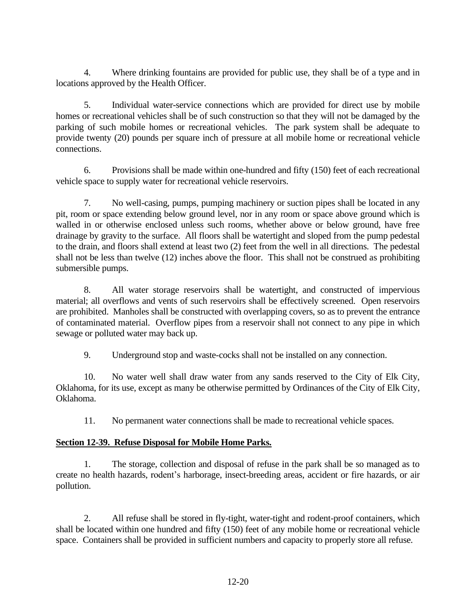4. Where drinking fountains are provided for public use, they shall be of a type and in locations approved by the Health Officer.

5. Individual water-service connections which are provided for direct use by mobile homes or recreational vehicles shall be of such construction so that they will not be damaged by the parking of such mobile homes or recreational vehicles. The park system shall be adequate to provide twenty (20) pounds per square inch of pressure at all mobile home or recreational vehicle connections.

6. Provisions shall be made within one-hundred and fifty (150) feet of each recreational vehicle space to supply water for recreational vehicle reservoirs.

7. No well-casing, pumps, pumping machinery or suction pipes shall be located in any pit, room or space extending below ground level, nor in any room or space above ground which is walled in or otherwise enclosed unless such rooms, whether above or below ground, have free drainage by gravity to the surface. All floors shall be watertight and sloped from the pump pedestal to the drain, and floors shall extend at least two (2) feet from the well in all directions. The pedestal shall not be less than twelve (12) inches above the floor. This shall not be construed as prohibiting submersible pumps.

8. All water storage reservoirs shall be watertight, and constructed of impervious material; all overflows and vents of such reservoirs shall be effectively screened. Open reservoirs are prohibited. Manholes shall be constructed with overlapping covers, so as to prevent the entrance of contaminated material. Overflow pipes from a reservoir shall not connect to any pipe in which sewage or polluted water may back up.

9. Underground stop and waste-cocks shall not be installed on any connection.

10. No water well shall draw water from any sands reserved to the City of Elk City, Oklahoma, for its use, except as many be otherwise permitted by Ordinances of the City of Elk City, Oklahoma.

11. No permanent water connections shall be made to recreational vehicle spaces.

# **Section 12-39. Refuse Disposal for Mobile Home Parks.**

1. The storage, collection and disposal of refuse in the park shall be so managed as to create no health hazards, rodent's harborage, insect-breeding areas, accident or fire hazards, or air pollution.

2. All refuse shall be stored in fly-tight, water-tight and rodent-proof containers, which shall be located within one hundred and fifty (150) feet of any mobile home or recreational vehicle space. Containers shall be provided in sufficient numbers and capacity to properly store all refuse.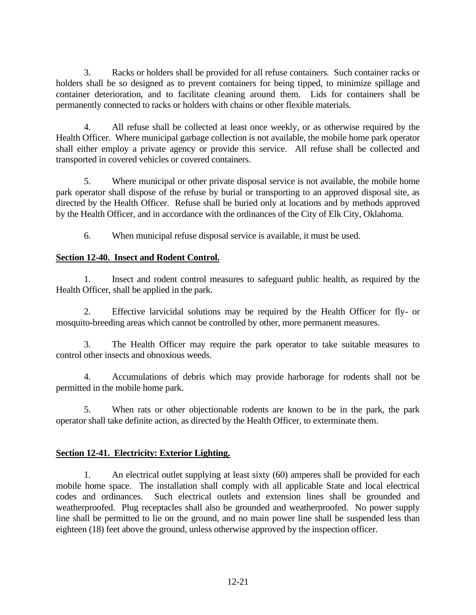3. Racks or holders shall be provided for all refuse containers. Such container racks or holders shall be so designed as to prevent containers for being tipped, to minimize spillage and container deterioration, and to facilitate cleaning around them. Lids for containers shall be permanently connected to racks or holders with chains or other flexible materials.

4. All refuse shall be collected at least once weekly, or as otherwise required by the Health Officer. Where municipal garbage collection is not available, the mobile home park operator shall either employ a private agency or provide this service. All refuse shall be collected and transported in covered vehicles or covered containers.

5. Where municipal or other private disposal service is not available, the mobile home park operator shall dispose of the refuse by burial or transporting to an approved disposal site, as directed by the Health Officer. Refuse shall be buried only at locations and by methods approved by the Health Officer, and in accordance with the ordinances of the City of Elk City, Oklahoma.

6. When municipal refuse disposal service is available, it must be used.

## **Section 12-40. Insect and Rodent Control.**

1. Insect and rodent control measures to safeguard public health, as required by the Health Officer, shall be applied in the park.

2. Effective larvicidal solutions may be required by the Health Officer for fly- or mosquito-breeding areas which cannot be controlled by other, more permanent measures.

3. The Health Officer may require the park operator to take suitable measures to control other insects and obnoxious weeds.

4. Accumulations of debris which may provide harborage for rodents shall not be permitted in the mobile home park.

5. When rats or other objectionable rodents are known to be in the park, the park operator shall take definite action, as directed by the Health Officer, to exterminate them.

# **Section 12-41. Electricity: Exterior Lighting.**

1. An electrical outlet supplying at least sixty (60) amperes shall be provided for each mobile home space. The installation shall comply with all applicable State and local electrical codes and ordinances. Such electrical outlets and extension lines shall be grounded and weatherproofed. Plug receptacles shall also be grounded and weatherproofed. No power supply line shall be permitted to lie on the ground, and no main power line shall be suspended less than eighteen (18) feet above the ground, unless otherwise approved by the inspection officer.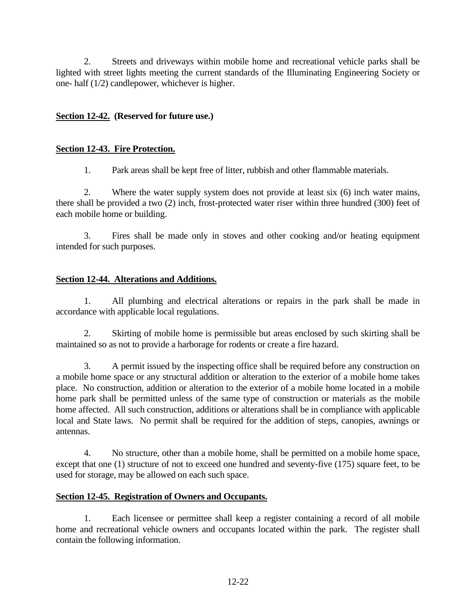2. Streets and driveways within mobile home and recreational vehicle parks shall be lighted with street lights meeting the current standards of the Illuminating Engineering Society or one- half (1/2) candlepower, whichever is higher.

# **Section 12-42. (Reserved for future use.)**

## **Section 12-43. Fire Protection.**

1. Park areas shall be kept free of litter, rubbish and other flammable materials.

2. Where the water supply system does not provide at least six (6) inch water mains, there shall be provided a two (2) inch, frost-protected water riser within three hundred (300) feet of each mobile home or building.

3. Fires shall be made only in stoves and other cooking and/or heating equipment intended for such purposes.

# **Section 12-44. Alterations and Additions.**

1. All plumbing and electrical alterations or repairs in the park shall be made in accordance with applicable local regulations.

2. Skirting of mobile home is permissible but areas enclosed by such skirting shall be maintained so as not to provide a harborage for rodents or create a fire hazard.

3. A permit issued by the inspecting office shall be required before any construction on a mobile home space or any structural addition or alteration to the exterior of a mobile home takes place. No construction, addition or alteration to the exterior of a mobile home located in a mobile home park shall be permitted unless of the same type of construction or materials as the mobile home affected. All such construction, additions or alterations shall be in compliance with applicable local and State laws. No permit shall be required for the addition of steps, canopies, awnings or antennas.

4. No structure, other than a mobile home, shall be permitted on a mobile home space, except that one (1) structure of not to exceed one hundred and seventy-five (175) square feet, to be used for storage, may be allowed on each such space.

# **Section 12-45. Registration of Owners and Occupants.**

1. Each licensee or permittee shall keep a register containing a record of all mobile home and recreational vehicle owners and occupants located within the park. The register shall contain the following information.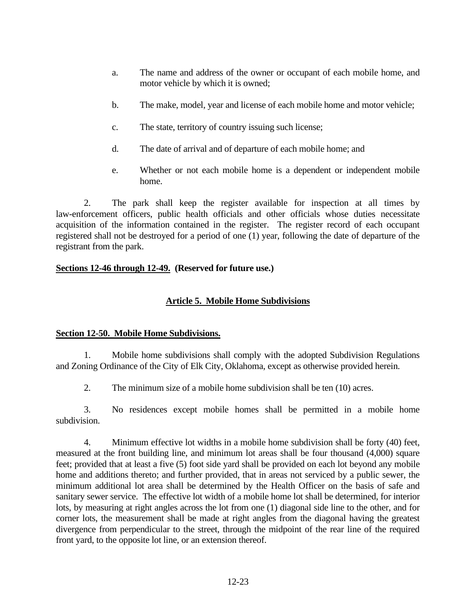- a. The name and address of the owner or occupant of each mobile home, and motor vehicle by which it is owned;
- b. The make, model, year and license of each mobile home and motor vehicle;
- c. The state, territory of country issuing such license;
- d. The date of arrival and of departure of each mobile home; and
- e. Whether or not each mobile home is a dependent or independent mobile home.

2. The park shall keep the register available for inspection at all times by law-enforcement officers, public health officials and other officials whose duties necessitate acquisition of the information contained in the register. The register record of each occupant registered shall not be destroyed for a period of one (1) year, following the date of departure of the registrant from the park.

### **Sections 12-46 through 12-49. (Reserved for future use.)**

## **Article 5. Mobile Home Subdivisions**

#### **Section 12-50. Mobile Home Subdivisions.**

1. Mobile home subdivisions shall comply with the adopted Subdivision Regulations and Zoning Ordinance of the City of Elk City, Oklahoma, except as otherwise provided herein.

2. The minimum size of a mobile home subdivision shall be ten (10) acres.

3. No residences except mobile homes shall be permitted in a mobile home subdivision.

4. Minimum effective lot widths in a mobile home subdivision shall be forty (40) feet, measured at the front building line, and minimum lot areas shall be four thousand (4,000) square feet; provided that at least a five (5) foot side yard shall be provided on each lot beyond any mobile home and additions thereto; and further provided, that in areas not serviced by a public sewer, the minimum additional lot area shall be determined by the Health Officer on the basis of safe and sanitary sewer service. The effective lot width of a mobile home lot shall be determined, for interior lots, by measuring at right angles across the lot from one (1) diagonal side line to the other, and for corner lots, the measurement shall be made at right angles from the diagonal having the greatest divergence from perpendicular to the street, through the midpoint of the rear line of the required front yard, to the opposite lot line, or an extension thereof.